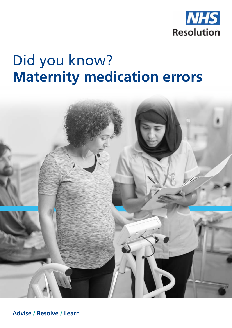

## Did you know? **Maternity medication errors**



**Advise / Resolve / Learn**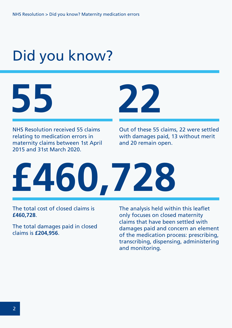# Did you know?



NHS Resolution received 55 claims relating to medication errors in maternity claims between 1st April 2015 and 31st March 2020.



Out of these 55 claims, 22 were settled with damages paid, 13 without merit and 20 remain open.



The total cost of closed claims is **£460,728**.

The total damages paid in closed claims is **£204,956**.

The analysis held within this leaflet only focuses on closed maternity claims that have been settled with damages paid and concern an element of the medication process: prescribing, transcribing, dispensing, administering and monitoring.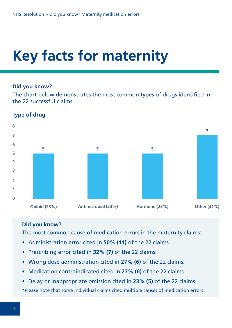## **Key facts for maternity**

#### **Did you know?**

The chart below demonstrates the most common types of drugs identified in the 22 successful claims.



#### **Type of drug**

### **Did you know?**

The most common cause of medication errors in the maternity claims:

- Administration error cited in **50% (11)** of the 22 claims.
- Prescribing error cited in **32% (7)** of the 22 claims.
- Wrong dose administration cited in **27% (6)** of the 22 claims.
- Medication contraindicated cited in **27% (6)** of the 22 claims.
- Delay or inappropriate omission cited in **23% (5)** of the 22 claims.

\*Please note that some individual claims cited multiple causes of medication errors.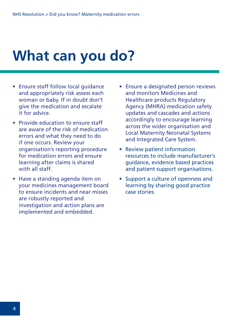### **What can you do?**

- Ensure staff follow local guidance and appropriately risk assess each woman or baby. If in doubt don't give the medication and escalate it for advice.
- Provide education to ensure staff are aware of the risk of medication errors and what they need to do if one occurs. Review your organisation's reporting procedure for medication errors and ensure learning after claims is shared with all staff.
- Have a standing agenda item on your medicines management board to ensure incidents and near misses are robustly reported and investigation and action plans are implemented and embedded.
- Ensure a designated person reviews and monitors Medicines and Healthcare products Regulatory Agency (MHRA) medication safety updates and cascades and actions accordingly to encourage learning across the wider organisation and Local Maternity Neonatal Systems and Integrated Care System.
- Review patient information resources to include manufacturer's guidance, evidence based practices and patient support organisations.
- Support a culture of openness and learning by sharing good practice case stories.